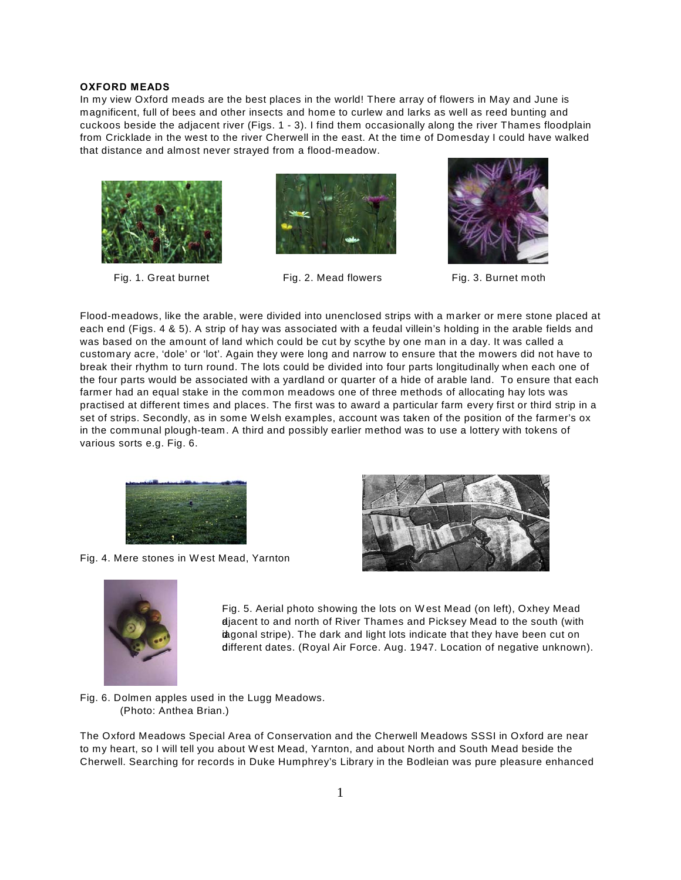## **OXFORD MEADS**

In my view Oxford meads are the best places in the world! There array of flowers in May and June is magnificent, full of bees and other insects and home to curlew and larks as well as reed bunting and cuckoos beside the adjacent river (Figs. 1 - 3). I find them occasionally along the river Thames floodplain from Cricklade in the west to the river Cherwell in the east. At the time of Domesday I could have walked that distance and almost never strayed from a flood-meadow.



Fig. 1. Great burnet Fig. 2. Mead flowers Fig. 3. Burnet moth





Flood-meadows, like the arable, were divided into unenclosed strips with a marker or mere stone placed at each end (Figs. 4 & 5). A strip of hay was associated with a feudal villein's holding in the arable fields and was based on the amount of land which could be cut by scythe by one man in a day. It was called a customary acre, 'dole' or 'lot'. Again they were long and narrow to ensure that the mowers did not have to break their rhythm to turn round. The lots could be divided into four parts longitudinally when each one of the four parts would be associated with a yardland or quarter of a hide of arable land. To ensure that each farmer had an equal stake in the common meadows one of three methods of allocating hay lots was practised at different times and places. The first was to award a particular farm every first or third strip in a set of strips. Secondly, as in some W elsh examples, account was taken of the position of the farmer's ox in the communal plough-team. A third and possibly earlier method was to use a lottery with tokens of various sorts e.g. Fig. 6.



Fig. 4. Mere stones in W est Mead, Yarnton





Fig. 5. Aerial photo showing the lots on W est Mead (on left), Oxhey Mead djacent to and north of River Thames and Picksey Mead to the south (with ingonal stripe). The dark and light lots indicate that they have been cut on different dates. (Royal Air Force. Aug. 1947. Location of negative unknown).

Fig. 6. Dolmen apples used in the Lugg Meadows. (Photo: Anthea Brian.)

The Oxford Meadows Special Area of Conservation and the Cherwell Meadows SSSI in Oxford are near to my heart, so I will tell you about W est Mead, Yarnton, and about North and South Mead beside the Cherwell. Searching for records in Duke Humphrey's Library in the Bodleian was pure pleasure enhanced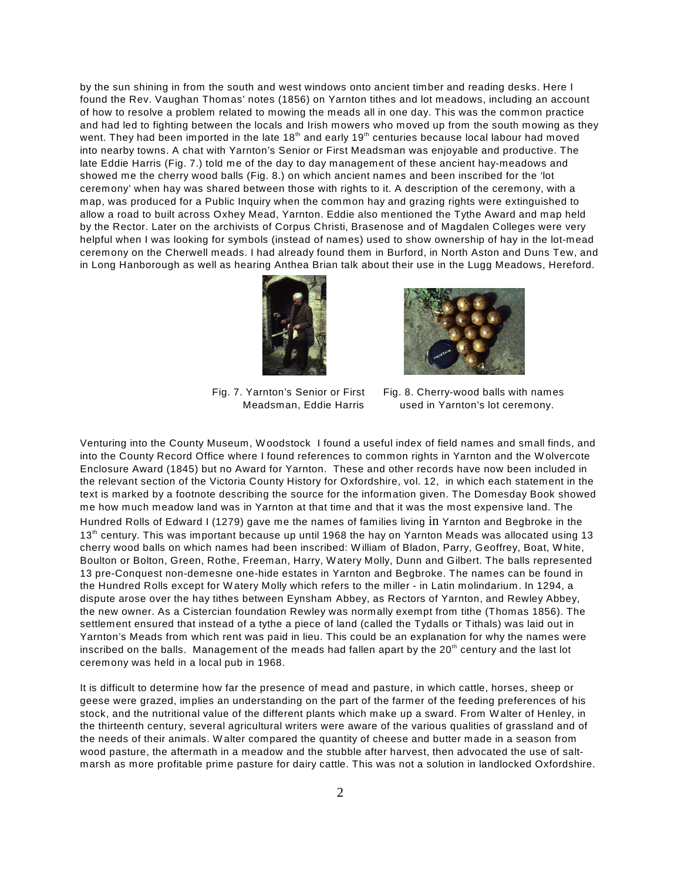by the sun shining in from the south and west windows onto ancient timber and reading desks. Here I found the Rev. Vaughan Thomas' notes (1856) on Yarnton tithes and lot meadows, including an account of how to resolve a problem related to mowing the meads all in one day. This was the common practice and had led to fighting between the locals and Irish mowers who moved up from the south mowing as they went. They had been imported in the late 18<sup>th</sup> and early 19<sup>th</sup> centuries because local labour had moved into nearby towns. A chat with Yarnton's Senior or First Meadsman was enjoyable and productive. The late Eddie Harris (Fig. 7.) told me of the day to day management of these ancient hay-meadows and showed me the cherry wood balls (Fig. 8.) on which ancient names and been inscribed for the 'lot ceremony' when hay was shared between those with rights to it. A description of the ceremony, with a map, was produced for a Public Inquiry when the common hay and grazing rights were extinguished to allow a road to built across Oxhey Mead, Yarnton. Eddie also mentioned the Tythe Award and map held by the Rector. Later on the archivists of Corpus Christi, Brasenose and of Magdalen Colleges were very helpful when I was looking for symbols (instead of names) used to show ownership of hay in the lot-mead ceremony on the Cherwell meads. I had already found them in Burford, in North Aston and Duns Tew, and in Long Hanborough as well as hearing Anthea Brian talk about their use in the Lugg Meadows, Hereford.





Fig. 7. Yarnton's Senior or First Fig. 8. Cherry-wood balls with names Meadsman, Eddie Harris used in Yarnton's lot ceremony.

Venturing into the County Museum, W oodstock I found a useful index of field names and small finds, and into the County Record Office where I found references to common rights in Yarnton and the W olvercote Enclosure Award (1845) but no Award for Yarnton. These and other records have now been included in the relevant section of the Victoria County History for Oxfordshire, vol. 12, in which each statement in the text is marked by a footnote describing the source for the information given. The Domesday Book showed me how much meadow land was in Yarnton at that time and that it was the most expensive land. The Hundred Rolls of Edward I (1279) gave me the names of families living in Yarnton and Begbroke in the 13<sup>th</sup> century. This was important because up until 1968 the hay on Yarnton Meads was allocated using 13 cherry wood balls on which names had been inscribed: W illiam of Bladon, Parry, Geoffrey, Boat, W hite, Boulton or Bolton, Green, Rothe, Freeman, Harry, W atery Molly, Dunn and Gilbert. The balls represented 13 pre-Conquest non-demesne one-hide estates in Yarnton and Begbroke. The names can be found in the Hundred Rolls except for W atery Molly which refers to the miller - in Latin molindarium. In 1294, a dispute arose over the hay tithes between Eynsham Abbey, as Rectors of Yarnton, and Rewley Abbey, the new owner. As a Cistercian foundation Rewley was normally exempt from tithe (Thomas 1856). The settlement ensured that instead of a tythe a piece of land (called the Tydalls or Tithals) was laid out in Yarnton's Meads from which rent was paid in lieu. This could be an explanation for why the names were inscribed on the balls. Management of the meads had fallen apart by the  $20<sup>th</sup>$  century and the last lot ceremony was held in a local pub in 1968.

It is difficult to determine how far the presence of mead and pasture, in which cattle, horses, sheep or geese were grazed, implies an understanding on the part of the farmer of the feeding preferences of his stock, and the nutritional value of the different plants which make up a sward. From W alter of Henley, in the thirteenth century, several agricultural writers were aware of the various qualities of grassland and of the needs of their animals. W alter compared the quantity of cheese and butter made in a season from wood pasture, the aftermath in a meadow and the stubble after harvest, then advocated the use of saltmarsh as more profitable prime pasture for dairy cattle. This was not a solution in landlocked Oxfordshire.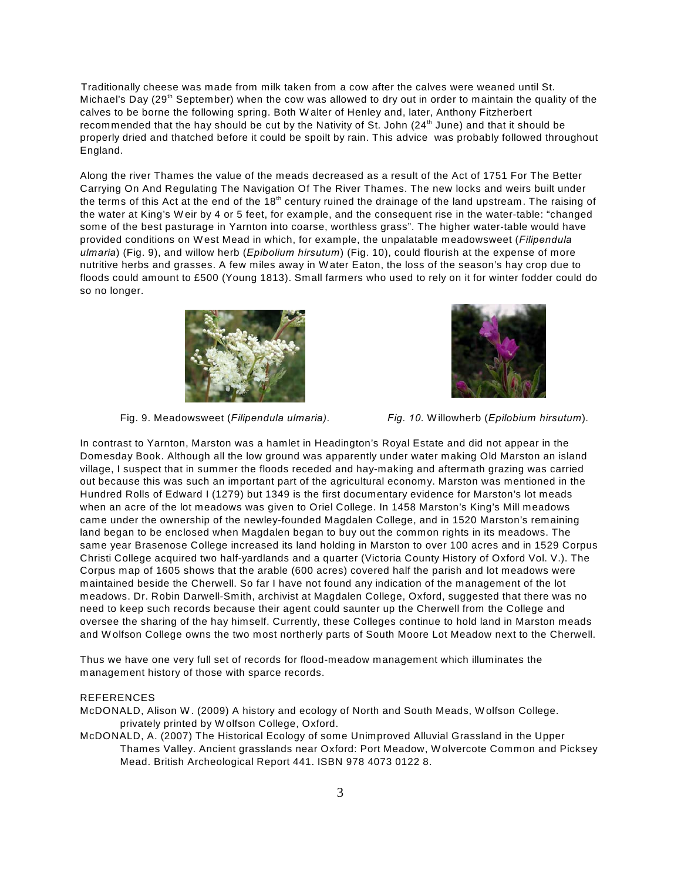Traditionally cheese was made from milk taken from a cow after the calves were weaned until St. Michael's Day (29<sup>th</sup> September) when the cow was allowed to dry out in order to maintain the quality of the calves to be borne the following spring. Both W alter of Henley and, later, Anthony Fitzherbert recommended that the hay should be cut by the Nativity of St. John  $(24<sup>th</sup>$  June) and that it should be properly dried and thatched before it could be spoilt by rain. This advice was probably followed throughout England.

Along the river Thames the value of the meads decreased as a result of the Act of 1751 For The Better Carrying On And Regulating The Navigation Of The River Thames. The new locks and weirs built under the terms of this Act at the end of the 18<sup>th</sup> century ruined the drainage of the land upstream. The raising of the water at King's W eir by 4 or 5 feet, for example, and the consequent rise in the water-table: "changed some of the best pasturage in Yarnton into coarse, worthless grass". The higher water-table would have provided conditions on W est Mead in which, for example, the unpalatable meadowsweet (*Filipendula ulmaria*) (Fig. 9), and willow herb (*Epibolium hirsutum*) (Fig. 10), could flourish at the expense of more nutritive herbs and grasses. A few miles away in W ater Eaton, the loss of the season's hay crop due to floods could amount to £500 (Young 1813). Small farmers who used to rely on it for winter fodder could do so no longer.



Fig. 9. Meadowsweet (*Filipendula ulmaria). Fig. 10.* W illowherb (*Epilobium hirsutum*)*.* 

In contrast to Yarnton, Marston was a hamlet in Headington's Royal Estate and did not appear in the Domesday Book. Although all the low ground was apparently under water making Old Marston an island village, I suspect that in summer the floods receded and hay-making and aftermath grazing was carried out because this was such an important part of the agricultural economy. Marston was mentioned in the Hundred Rolls of Edward I (1279) but 1349 is the first documentary evidence for Marston's lot meads when an acre of the lot meadows was given to Oriel College. In 1458 Marston's King's Mill meadows came under the ownership of the newley-founded Magdalen College, and in 1520 Marston's remaining land began to be enclosed when Magdalen began to buy out the common rights in its meadows. The same year Brasenose College increased its land holding in Marston to over 100 acres and in 1529 Corpus Christi College acquired two half-yardlands and a quarter (Victoria County History of Oxford Vol. V.). The Corpus map of 1605 shows that the arable (600 acres) covered half the parish and lot meadows were maintained beside the Cherwell. So far I have not found any indication of the management of the lot meadows. Dr. Robin Darwell-Smith, archivist at Magdalen College, Oxford, suggested that there was no need to keep such records because their agent could saunter up the Cherwell from the College and oversee the sharing of the hay himself. Currently, these Colleges continue to hold land in Marston meads and W olfson College owns the two most northerly parts of South Moore Lot Meadow next to the Cherwell.

Thus we have one very full set of records for flood-meadow management which illuminates the management history of those with sparce records.

## REFERENCES

McDONALD, Alison W . (2009) A history and ecology of North and South Meads, W olfson College. privately printed by W olfson College, Oxford.

McDONALD, A. (2007) The Historical Ecology of some Unimproved Alluvial Grassland in the Upper Thames Valley. Ancient grasslands near Oxford: Port Meadow, W olvercote Common and Picksey Mead. British Archeological Report 441. ISBN 978 4073 0122 8.